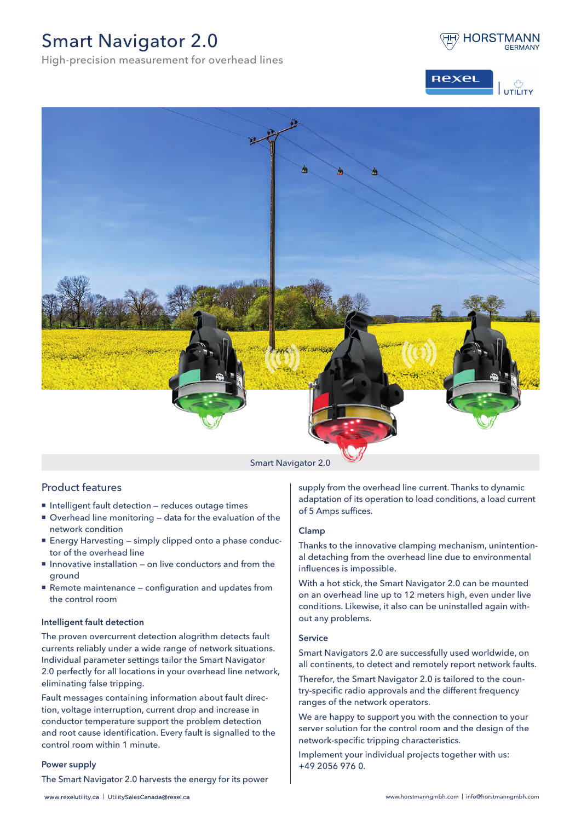# Smart Navigator 2.0

High-precision measurement for overhead lines







#### Smart Navigator 2.0

## Product features

- Intelligent fault detection reduces outage times
- Overhead line monitoring data for the evaluation of the network condition
- Energy Harvesting simply clipped onto a phase conductor of the overhead line
- Innovative installation on live conductors and from the ground
- Remote maintenance configuration and updates from the control room

#### Intelligent fault detection

The proven overcurrent detection alogrithm detects fault currents reliably under a wide range of network situations. Individual parameter settings tailor the Smart Navigator 2.0 perfectly for all locations in your overhead line network, eliminating false tripping.

Fault messages containing information about fault direction, voltage interruption, current drop and increase in conductor temperature support the problem detection and root cause identification. Every fault is signalled to the control room within 1 minute.

#### Power supply

The Smart Navigator 2.0 harvests the energy for its power

supply from the overhead line current. Thanks to dynamic adaptation of its operation to load conditions, a load current of 5 Amps suffices.

### Clamp

Thanks to the innovative clamping mechanism, unintentional detaching from the overhead line due to environmental influences is impossible.

With a hot stick, the Smart Navigator 2.0 can be mounted on an overhead line up to 12 meters high, even under live conditions. Likewise, it also can be uninstalled again without any problems.

#### Service

Smart Navigators 2.0 are successfully used worldwide, on all continents, to detect and remotely report network faults.

Therefor, the Smart Navigator 2.0 is tailored to the country-specific radio approvals and the different frequency ranges of the network operators.

We are happy to support you with the connection to your server solution for the control room and the design of the network-specific tripping characteristics.

Implement your individual projects together with us: +49 2056 976 0.